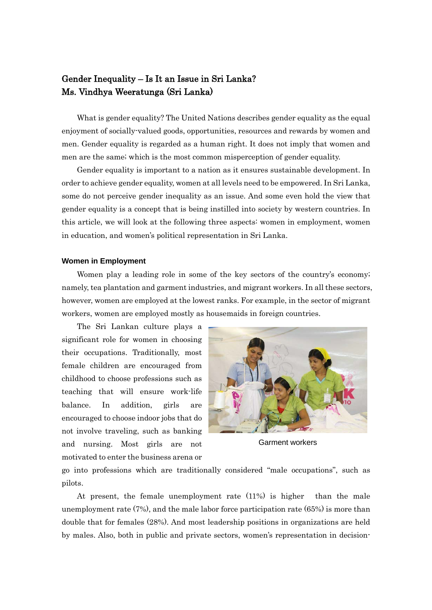## Gender Inequality – Is It an Issue in Sri Lanka? Ms. Vindhya Weeratunga (Sri Lanka)

What is gender equality? The United Nations describes gender equality as the equal enjoyment of socially-valued goods, opportunities, resources and rewards by women and men. Gender equality is regarded as a human right. It does not imply that women and men are the same; which is the most common misperception of gender equality.

Gender equality is important to a nation as it ensures sustainable development. In order to achieve gender equality, women at all levels need to be empowered. In Sri Lanka, some do not perceive gender inequality as an issue. And some even hold the view that gender equality is a concept that is being instilled into society by western countries. In this article, we will look at the following three aspects: women in employment, women in education, and women's political representation in Sri Lanka.

## **Women in Employment**

Women play a leading role in some of the key sectors of the country's economy; namely, tea plantation and garment industries, and migrant workers. In all these sectors, however, women are employed at the lowest ranks. For example, in the sector of migrant workers, women are employed mostly as housemaids in foreign countries.

The Sri Lankan culture plays a significant role for women in choosing their occupations. Traditionally, most female children are encouraged from childhood to choose professions such as teaching that will ensure work-life balance. In addition, girls are encouraged to choose indoor jobs that do not involve traveling, such as banking and nursing. Most girls are not motivated to enter the business arena or



Garment workers

go into professions which are traditionally considered "male occupations", such as pilots.

At present, the female unemployment rate (11%) is higher than the male unemployment rate (7%), and the male labor force participation rate (65%) is more than double that for females (28%). And most leadership positions in organizations are held by males. Also, both in public and private sectors, women's representation in decision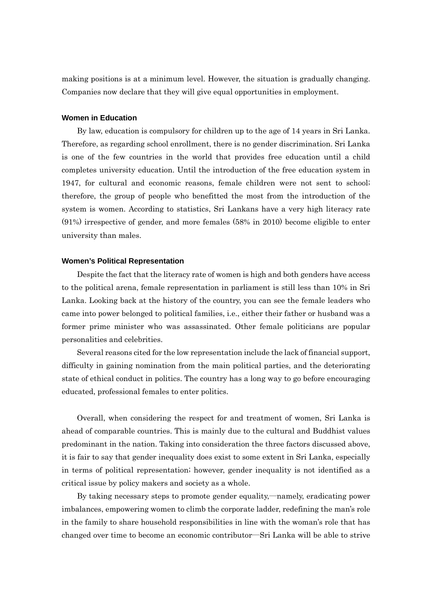making positions is at a minimum level. However, the situation is gradually changing. Companies now declare that they will give equal opportunities in employment.

## **Women in Education**

By law, education is compulsory for children up to the age of 14 years in Sri Lanka. Therefore, as regarding school enrollment, there is no gender discrimination. Sri Lanka is one of the few countries in the world that provides free education until a child completes university education. Until the introduction of the free education system in 1947, for cultural and economic reasons, female children were not sent to school; therefore, the group of people who benefitted the most from the introduction of the system is women. According to statistics, Sri Lankans have a very high literacy rate (91%) irrespective of gender, and more females (58% in 2010) become eligible to enter university than males.

## **Women's Political Representation**

Despite the fact that the literacy rate of women is high and both genders have access to the political arena, female representation in parliament is still less than 10% in Sri Lanka. Looking back at the history of the country, you can see the female leaders who came into power belonged to political families, i.e., either their father or husband was a former prime minister who was assassinated. Other female politicians are popular personalities and celebrities.

Several reasons cited for the low representation include the lack of financial support, difficulty in gaining nomination from the main political parties, and the deteriorating state of ethical conduct in politics. The country has a long way to go before encouraging educated, professional females to enter politics.

Overall, when considering the respect for and treatment of women, Sri Lanka is ahead of comparable countries. This is mainly due to the cultural and Buddhist values predominant in the nation. Taking into consideration the three factors discussed above, it is fair to say that gender inequality does exist to some extent in Sri Lanka, especially in terms of political representation; however, gender inequality is not identified as a critical issue by policy makers and society as a whole.

By taking necessary steps to promote gender equality,―namely, eradicating power imbalances, empowering women to climb the corporate ladder, redefining the man's role in the family to share household responsibilities in line with the woman's role that has changed over time to become an economic contributor―Sri Lanka will be able to strive